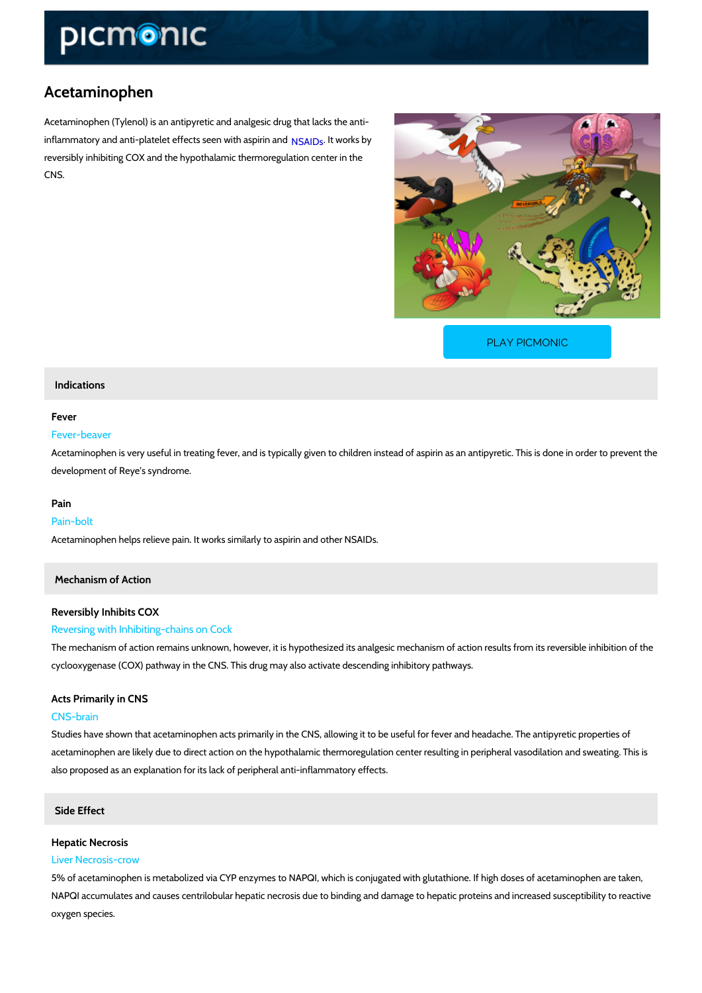# Acetaminophen

Acetaminophen (Tylenol) is an antipyretic and analgesic drug that lacks the anti inflammatory and anti-platelet effe[cts se](https://www.picmonic.com/learn/nsaids_1341)e but with kas by rin and reversibly inhibiting COX and the hypothalamic thermoregulation center in the CNS.

[PLAY PICMONIC](https://www.picmonic.com/learn/acetaminophen_1340?utm_source=downloadable_content&utm_medium=distributedcontent&utm_campaign=pathways_pdf&utm_content=Acetaminophen&utm_ad_group=leads&utm_market=all)

## Indications

#### Fever

## Fever-beaver

Acetaminophen is very useful in treating fever, and is typically given to children instead of as development of Reye s syndrome.

#### Pain

#### Pain-bolt

Acetaminophen helps relieve pain. It works similarly to aspirin and other NSAIDs.

## Mechanism of Action

## Reversibly Inhibits COX

#### Reversing with Inhibiting-chains on Cock

The mechanism of action remains unknown, however, it is hypothesized its analgesic mechanis cyclooxygenase (COX) pathway in the CNS. This drug may also activate descending inhibitory

## Acts Primarily in CNS

## CNS-brain

Studies have shown that acetaminophen acts primarily in the CNS, allowing it to be useful for acetaminophen are likely due to direct action on the hypothalamic thermoregulation center res also proposed as an explanation for its lack of peripheral anti-inflammatory effects.

## Side Effect

#### Hepatic Necrosis

#### Liver Necrosis-crow

5% of acetaminophen is metabolized via CYP enzymes to NAPQI, which is conjugated with glut NAPQI accumulates and causes centrilobular hepatic necrosis due to binding and damage to h oxygen species.